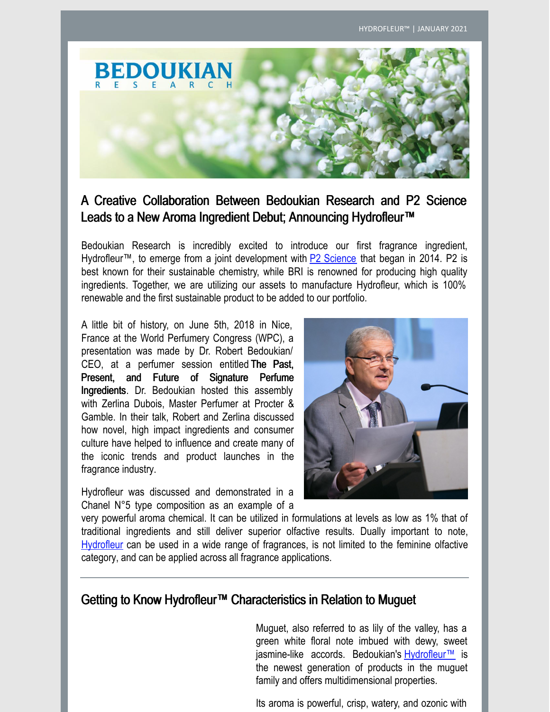

#### A Creative Collaboration Between Bedoukian Research and P2 Science Leads to a New Aroma Ingredient Debut; Announcing Hydrofleur™

Bedoukian Research is incredibly excited to introduce our first fragrance ingredient, Hydrofleur™, to emerge from a joint development with **P2 [Science](http://www.p2science.com/)** that began in 2014. P2 is best known for their sustainable chemistry, while BRI is renowned for producing high quality ingredients. Together, we are utilizing our assets to manufacture Hydrofleur, which is 100% renewable and the first sustainable product to be added to our portfolio.

A little bit of history, on June 5th, 2018 in Nice, France at the World Perfumery Congress (WPC), a presentation was made by Dr. Robert Bedoukian/ CEO, at a perfumer session entitled The Past, Present, and Future of Signature Perfume Ingredients. Dr. Bedoukian hosted this assembly with Zerlina Dubois, Master Perfumer at Procter & Gamble. In their talk, Robert and Zerlina discussed how novel, high impact ingredients and consumer culture have helped to influence and create many of the iconic trends and product launches in the fragrance industry.

Hydrofleur was discussed and demonstrated in a Chanel N°5 type composition as an example of a



very powerful aroma chemical. It can be utilized in formulations at levels as low as 1% that of traditional ingredients and still deliver superior olfactive results. Dually important to note, [Hydrofleur](https://search.bedoukian.com/flavorfragrance/ff_product.asp?method=POP&id=279) can be used in a wide range of fragrances, is not limited to the feminine olfactive category, and can be applied across all fragrance applications.

#### Getting to Know Hydrofleur™ Characteristics in Relation to Muguet

Muguet, also referred to as lily of the valley, has a green white floral note imbued with dewy, sweet jasmine-like accords. Bedoukian's Hydrofleur<sup>™</sup> is the newest generation of products in the muguet family and offers multidimensional properties.

Its aroma is powerful, crisp, watery, and ozonic with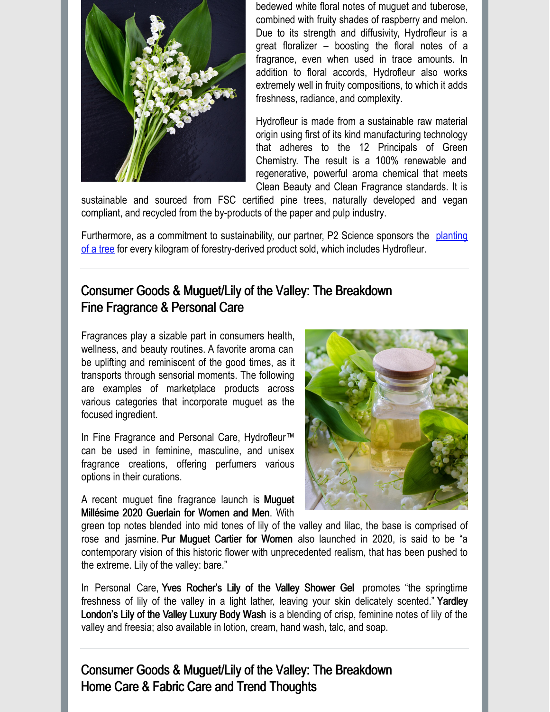

bedewed white floral notes of muguet and tuberose, combined with fruity shades of raspberry and melon. Due to its strength and diffusivity, Hydrofleur is a great floralizer – boosting the floral notes of a fragrance, even when used in trace amounts. In addition to floral accords, Hydrofleur also works extremely well in fruity compositions, to which it adds freshness, radiance, and complexity.

Hydrofleur is made from a sustainable raw material origin using first of its kind manufacturing technology that adheres to the 12 Principals of Green Chemistry. The result is a 100% renewable and regenerative, powerful aroma chemical that meets Clean Beauty and Clean Fragrance standards. It is

sustainable and sourced from FSC certified pine trees, naturally developed and vegan compliant, and recycled from the by-products of the paper and pulp industry.

Furthermore, as a commitment to sustainability, our partner, P2 Science sponsors the planting of a tree for every kilogram of [forestry-derived](https://p2science.com/plant-a-forest/) product sold, which includes Hydrofleur.

### Consumer Goods & Muguet/Lily of the Valley: The Breakdown Fine Fragrance & Personal Care

Fragrances play a sizable part in consumers health, wellness, and beauty routines. A favorite aroma can be uplifting and reminiscent of the good times, as it transports through sensorial moments. The following are examples of marketplace products across various categories that incorporate muguet as the focused ingredient.

In Fine Fragrance and Personal Care, Hydrofleur™ can be used in feminine, masculine, and unisex fragrance creations, offering perfumers various options in their curations.

A recent muguet fine fragrance launch is Muguet Millésime 2020 Guerlain for Women and Men. With



green top notes blended into mid tones of lily of the valley and lilac, the base is comprised of rose and jasmine. Pur Muguet Cartier for Women also launched in 2020, is said to be "a contemporary vision of this historic flower with unprecedented realism, that has been pushed to the extreme. Lily of the valley: bare."

In Personal Care, Yves Rocher's Lily of the Valley Shower Gel promotes "the springtime freshness of lily of the valley in a light lather, leaving your skin delicately scented." Yardley London's Lily of the Valley Luxury Body Wash is a blending of crisp, feminine notes of lily of the valley and freesia; also available in lotion, cream, hand wash, talc, and soap.

## Consumer Goods & Muguet/Lily of the Valley: The Breakdown Home Care & Fabric Care and Trend Thoughts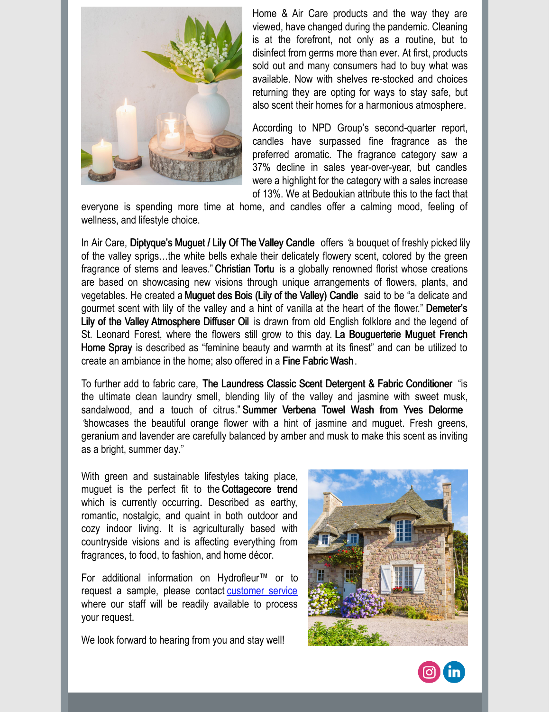

Home & Air Care products and the way they are viewed, have changed during the pandemic. Cleaning is at the forefront, not only as a routine, but to disinfect from germs more than ever. At first, products sold out and many consumers had to buy what was available. Now with shelves re-stocked and choices returning they are opting for ways to stay safe, but also scent their homes for a harmonious atmosphere.

According to NPD Group's second-quarter report, candles have surpassed fine fragrance as the preferred aromatic. The fragrance category saw a 37% decline in sales year-over-year, but candles were a highlight for the category with a sales increase of 13%. We at Bedoukian attribute this to the fact that

everyone is spending more time at home, and candles offer a calming mood, feeling of wellness, and lifestyle choice.

In Air Care, Diptyque's Muguet / Lily Of The Valley Candle offers "a bouquet of freshly picked lily of the valley sprigs…the white bells exhale their delicately flowery scent, colored by the green fragrance of stems and leaves." Christian Tortu is a globally renowned florist whose creations are based on showcasing new visions through unique arrangements of flowers, plants, and vegetables. He created aMuguet des Bois (Lily of the Valley) Candle said to be "a delicate and gourmet scent with lily of the valley and a hint of vanilla at the heart of the flower." Demeter's Lily of the Valley Atmosphere Diffuser Oil is drawn from old English folklore and the legend of St. Leonard Forest, where the flowers still grow to this day. La Bouguerterie Muguet French Home Spray is described as "feminine beauty and warmth at its finest" and can be utilized to create an ambiance in the home; also offered in a Fine Fabric Wash .

To further add to fabric care, The Laundress Classic Scent Detergent & Fabric Conditioner "is the ultimate clean laundry smell, blending lily of the valley and jasmine with sweet musk, sandalwood, and a touch of citrus." Summer Verbena Towel Wash from Yves Delorme "showcases the beautiful orange flower with a hint of jasmine and muguet. Fresh greens, geranium and lavender are carefully balanced by amber and musk to make this scent as inviting as a bright, summer day."

With green and sustainable lifestyles taking place, muguet is the perfect fit to the Cottagecore trend which is currently occurring. Described as earthy, romantic, nostalgic, and quaint in both outdoor and cozy indoor living. It is agriculturally based with countryside visions and is affecting everything from fragrances, to food, to fashion, and home décor.

For additional information on Hydrofleur™ or to request a sample, please contact [customer](https://bedoukian.com/contact-form/) service where our staff will be readily available to process your request.

We look forward to hearing from you and stay well!